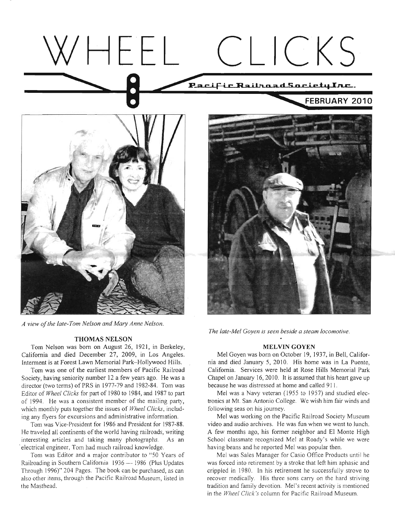# WHEEL CLICKS Pacific.RailhoadSocietuInc. **FEBRUARY 2010**



*A view of lhe late-Tom Nelson and Mar), Anne Nelson.* 

#### **THOMAS NELSON**

Tom Nelson was born on August 26, 1921, in Berkeley, California and died December 27, 2009, in Los Angeles. Interment is at Forest Lawn Memorial Park-Hollywood Hills.

Tom was one of the earliest members of Pacific Railroad Society, having seniority number 12 a few years ago. He was a director (two terms) of PRS in 1977-79 and 1982-84. Tom was Editor of *Wheel Clicks* for part of 1980 to 1984, and 1987 to part of 1994. He was a consistent member of the mailing party, which monthly puts together the issues of *Wheel Clicks,* including any flyers for excursions and administrative information.

Tom was Vice-President for 1986 and President for 1987-88. He traveled all continents of the world having railroads, writing interesting articles and taking many photographs. As an 'electrical engineer, Tom had much railroad knowledge.

Tom was Editor and a major contributor to "50 Years of Railroading in Southern California 1936 - 1986 (Plus Updates Through 1996)" 204 Pages. The book can be purchased, as can also other items, through the Pacific Railroad Museum, listed in the Masthead.



*The late-Mel Goyen is seen beside a steam locomotive.* 

#### **MELVIN GOYEN**

Me1 Goyen was born on October 19, 1937, in Bell, California and died January *5,* 2010. His home was in La Puente, California. Services were held at Rose Hills Memorial Park Chapel on January 16, 2010. It is assumed that his heart gave up because he was distressed at home and called 911.

Me1 was a Navy veteran (1955 to 1957) and studied electronics at Mt. San Antonio College. We wish him fair winds and following seas on his journey.

Me1 was working on the Pacific Railroad Society Museum video and audio archives. He was fun when we went to lunch. A few months ago, his former neighbor and El Monte High School classmate recognized Me1 at Roady's while we were having beans and he reported Me1 was popular then.

Me1 was Sales Manager for Casio Office Products until he was forced into retirement by a stroke that left him aphasic and crippled in 1980. In his retirement he successfully strove to recover medically. His three sons carry on the hard striving tradition and family devotion. Mel's recent activity is mentioned in the *Wheel Click's* column for Pacific Railroad Museum.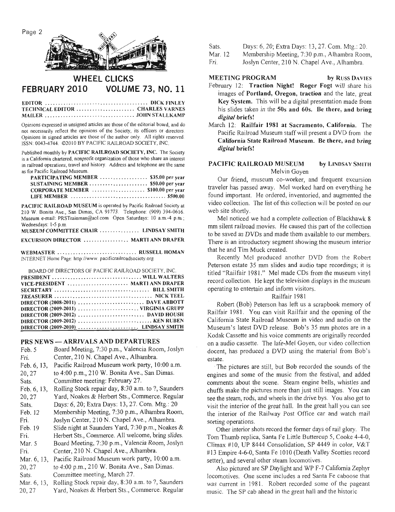



# **WHEEL CLICKS FEBRUARY 2010 VOLUME 73, NO. 11**

| TECHNICAL EDITOR  CHARLES VARNES |  |
|----------------------------------|--|
|                                  |  |

Opinions expressed in unsigned articles are those of the editorial board, and do not necessarily reflect the opinions of the Society, its officers or directors. Opinions in signed articles are those of the author only. All rights reserved. ISSN: 0043-4744. 02010 BY PACIFIC RAILROAD SOCIETY, MC.

Published monthly by **PACIFIC RAILROAD SOCIETY, IBC.** The Society is a California chartered, nonprofit organization of those who share an interest in railroad operations, travel and history. Address and telephone are the same as for Pacific Railroad Museum.

| TOP PACITIC NATITUAL IVIUSCUITI.       |  |
|----------------------------------------|--|
| PARTICIPATING MEMBER  \$35.00 per year |  |
|                                        |  |
| CORPORATE MEMBER  \$100.00 per year    |  |
|                                        |  |

**PACIFIC RAILROAD MUSEUM** is operated by Pacific Railroad Society at 210 W. Bonita Ave., San Dimas, CA 91773. Telephone: (909) 394-0616. Museum e-mail: PRSTrainman@aol.com Open Saturdays: 10 a.m.-4 p.m.; Wednesdays: 1-5 p.m.<br>MUSEUM COMMUTTEE CHAIR **HUSE AV CMITH** 

| MUSEUM COMMITTLE CHAIR  ENVESAT SMITH       |  |  |
|---------------------------------------------|--|--|
| <b>EXCURSION DIRECTOR  MARTI ANN DRAPER</b> |  |  |

**WEBMASTER** .............................. **RUSSELL HOMAN** 

INTERNET Home Page: http://www. pacificrailroadsociety.org

| BOARD OF DIRECTORS OF PACIFIC RAILROAD SOCIETY. INC. |  |
|------------------------------------------------------|--|
|                                                      |  |
| VICE-PRESIDENT  MARTI ANN DRAPER                     |  |
|                                                      |  |
|                                                      |  |
|                                                      |  |
| DIRECTOR (2009-2011) VIRGINIA GRUPP                  |  |
|                                                      |  |
|                                                      |  |
| DIRECTOR (2009-2010)  LINDSAY SMITH                  |  |

#### **PRS NEWS -ARRIVALS** AND DEPARTURES

| Feb. 5      | Board Meeting, 7:30 p.m., Valencia Room, Joslyn    |
|-------------|----------------------------------------------------|
| Fri.        | Center, 210 N. Chapel Ave., Alhambra.              |
| Feb. 6, 13, | Pacific Railroad Museum work party, 10:00 a.m.     |
| 20, 27      | to 4:00 p.m., 210 W. Bonita Ave., San Dimas.       |
| Sats.       | Committee meeting: February 27.                    |
| Feb. 6, 13, | Rolling Stock repair day, 8:30 a.m. to ?, Saunders |
| 20, 27      | Yard, Noakes & Herbert Sts., Commerce. Regular     |
| Sats.       | Days: 6, 20; Extra Days: 13, 27. Com. Mtg.: 20     |
| Feb. 12     | Membership Meeting, 7:30 p.m., Alhambra Room,      |
| Fri.        | Joslyn Center, 210 N. Chapel Ave., Alhambra.       |
| Feb. 19     | Slide night at Saunders Yard, 7:30 p.m., Noakes &  |
| Fri.        | Herbert Sts., Commerce. All welcome, bring slides. |
| Mar. 5      | Board Meeting, 7:30 p.m., Valencia Room, Joslyn    |
| Fri.        | Center, 210 N. Chapel Ave., Alhambra.              |
| Mar. 6, 13, | Pacific Railroad Museum work party, 10:00 a.m.     |
| 20, 27      | to 4:00 p.m., 210 W. Bonita Ave., San Dimas.       |
| Sats.       | Committee meeting, March 27.                       |
| Mar. 6, 13, | Rolling Stock repair day, 8:30 a.m. to ?, Saunders |
| 20, 27      | Yard, Noakes & Herbert Sts., Commerce. Regular     |

Sats. Days: 6,20; Extra Days: 13,27. Com. Mtg.: 20.

Mar. 12 Membership Meeting, 7:30 p.m., Alhambra Room,

Fri. Joslyn Center, 210 N. Chapel Ave., Alhambra.

# **MEETING PROGRAM by RUSS DAVIES**

- February 12: Traction Night! Roger Fogt will share his images of Portland, Oregon, traction and the late, great Key System. This will be a digital presentation made from his slides taken in the 50s and 60s. Be there, and bring **digital** briefs!
- March 12: Railfair 1981 at Sacramento, California. The Pacific Railroad Museum staff will present a DVD from the California State Railroad **Museum.** Be there, and bring **digital** briefs!

# PACIFIC RAILROAD MUSEUM by LINDSAY SMITH Melvin Goyen

Our friend, museum co-worker, and frequent excursion traveler has passed away. Me1 worked hard on everything he found important. He ordered, inventoried, and augmented the video collection. The list of this collection will be posted on our web site shortly.

Mel noticed we had a complete collection of Blackhawk 8 mm silent railroad movies. He caused this part of the collection to be saved as DVDs and made them available to our members. There is an introductory segment showing the museum interior that he and Tim Muck created.

Recently Mel produced another DVD from the Robert Peterson estate 35 mm slides and audio tape recordings; it is titled "Railfair 1981." Mel made CDs from the museum vinyl record collection. He kept the television displays in the museum operating to entertain and inform visitors.

# Railfair 198 1

Robert (Bob) Peterson has left us a scrapbook memory of Railfair 1981. You can visit Railfair and the opening of the Califomia State Railroad Museum in video and audio on the Museum's latest DVD release. Bob's 35 mm photos are in a Kodak Cassette and his voice comments are originally recorded on a audio cassette. The laie-Mel Goyen, our video collection docent, has produced a DVD using the material from Bob's estate.

The pictures are still, but Bob recorded the sounds of the engines and some of the music from the festival, and added comments about the scene. Steam engine bells, whistles and chuffs make the pictures more than just still images. You can see the steam, rods, and wheels in the drive bys. You also get to visit the interior of the great hall. In the great hall you can see the interior of the Railway Post Office car and watch mail sorting operations.

Other interior shots record the former days of rail glory. The Tom Thumb replica, Santa Fe Little Buttercup 5, Cooke 4-4-0, Climax # 10, UP 8444 Consolidation, SP 4449 in color, **V&T**  #13 Empire 4-6-0, Santa Fe 1010 (Death Valley Scotties record setter), and several other steam locomotives.

Also pictured are SP Daylight and WP F-7 California Zephyr locomotives. One scene includes a red Santa Fe caboose that was current in 1981. Robert recorded some of the pageant music. The SP cab ahead in the great hall and the historic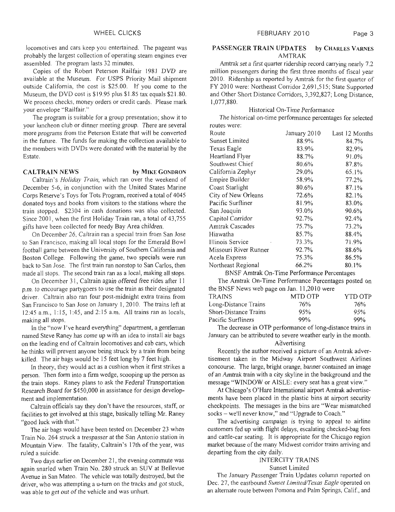locomotives and cars keep you entertained. The pageant was probably the largest collection of operating steam engines ever assembled. The program lasts 32 minutes.

Copies of the Robert Peterson Railfair 1981 DVD are available at the Museum. For USPS Priority Mail shipment outside California, the cost is \$25.00. If you come to the Museum, the DVD cost is \$19.95 plus \$1.85 tax equals \$21.80. We process checks, money orders or credit cards. Please mark your envelope "Railfair."

The program is suitable for a group presentation; show it to your luncheon club or dinner meeting group. There are several more programs from the Peterson Estate that will be converted in the future. The funds for making the collection available to the members with DVDs were donated with the material by the Estate.

#### **CALTRAIN NEWS by MIKE GONDRON**

Caltrain's *Holiduy* Train, which ran over the weekend of December 5-6, in conjunction with the United States Marine Corps Reserve's 'Toys for Tots Program, received a total of 4045 donated toys and books from visitors to the stations where the train stopped. \$2304 in cash donations was also collected. Since 2001, when the first Holiday Train ran, a total of 43,755 gifts have been collected for needy Bay Area children.

On December 26, Caltrain ran a special train from San Jose to San Francisco, making all local stops for the Emerald Bowl football game between the University of Southern California and Boston College. Following the game, two specials were run back to San Jose. The first train ran nonstop to San Carlos, then made all stops. The second train ran as a local, making all stops.

On December **3** 1, Caltrain again offered free rides after 1 <sup>1</sup> p.m. to encourage partygoers to use the train **as** their designated driver. Caltrain also ran four post-midnight extra trains from San Francisco to San Jose on January 1, 2010. The trains left at 12:45 a.m., 1:15, 1:45, and 2:15 a.m. All trains ran as locals, making all stops.

In the "now I've heard everything" department, a gentleman named Steve Raney has come up with an idea to install air bags on the leading end of Caltrain 1ocomotives and cab cars, which he thinks will prevent anyone being struck by a train from being killed. The air bags would be 15 feet long by 7 feet high.

In theory, they would act as a cushion when it first strikes a person. Then form into a firm wedge, scooping up the person as the train stops. Raney plans to ask the Federal Transportation Research Board for \$450,000 in assistance for design development and implementation.

Caltrain officials say they don't have the resources, staff, or facilities to get involved at this stage, basically telling Mr. Raney "good luck with that."

The air bags would have been tested on December 23 when Train No. 264 struck a trespasser at the San Antonio station in Mountain View. The fatality, Caltrain's 17th of the year, was ruled a suicide.

Two days earlier on December 2 1, the evening commute **was**  again snarled when Train No. 280 struck an SUV at Bellevue Avenue in San Mateo. The vehicle was totally destroyed, but the driver, who was attempting a u-turn on the tracks and got stuck, was able to get out of the vehicle and was unhurt.

#### **PASSENGER TRAIN UPDATES** by **CHARLES VARNES**  AMTRAK

**Arnt~ak** set a frst quarter ridership record carrying nearly 7.2 million passengers during the first three months of fiscal year 2010. Ridership as reported by Amtrak for the first quarter of FY 2010 were: Northeast Corridor 2,691,515; State Supported and Other Short Distance Corridors, 3,392,827; Long Distance, 1,077,880.

## Historical On-Time Performance

The historical on-time performance percentages for selected routes were:

| Route                                                                        | January 2010 | Last 12 Months |
|------------------------------------------------------------------------------|--------------|----------------|
| Sunset Limited                                                               | 88.9%        | 84.7%          |
| Texas Eagle                                                                  | 83.9%        | 82.9%          |
| Heartland Flyer                                                              | 88.7%        | 91.0%          |
| Southwest Chief                                                              | 80.6%        | 87.8%          |
| California Zephyr                                                            | 29.0%        | 65.1%          |
| Empire Builder                                                               | 58.9%        | 77.2%          |
| Coast Starlight                                                              | 80.6%        | 87.1%          |
| City of New Orleans                                                          | 72.6%        | 82.1%          |
| Pacific Surfliner                                                            | 81.9%        | 83.0%          |
| San Joaquin                                                                  | 93.0%        | 90.6%          |
| Capitol Corridor                                                             | 92.7%        | 92.4%          |
| <b>Amtrak Cascades</b>                                                       | 75.7%        | 73.2%          |
| Hiawatha                                                                     | 85.7%        | 88.4%          |
| Illinois Service                                                             | 73.3%        | 71.9%          |
| Missouri River Runner                                                        | 92.7%        | 88.6%          |
| Acela Express                                                                | 75.3%        | 86.5%          |
| Northeast Regional                                                           | 66.2%        | 80.1%          |
| $\mathbf{D}\mathbf{MOP}$ $\mathbf{A}$ $\mathbf{A}$ $\mathbf{A}$ $\mathbf{A}$ |              |                |

BNSF Amtrak On-Time Performance Percentages

The Amtrak On-Time Performance Percentages posted on the BNSF News web page on Jan. 1 1,20 10 were

| TRAINS.               | MTD OTP | YTD OTP |
|-----------------------|---------|---------|
| Long-Distance Trains  | 76%     | 76%     |
| Short-Distance Trains | 95%     | 95%     |
| Pacific Surfliners    | 99%     | 99%     |

The decrease in OTP performance of long-distance trains in January can be attributed to severe weather early in the month. Advertising

Recently the author received a picture of an Amtrak advertisement taken in the Midway Airport Southwest Airlines concourse. The large, bright orange, banner contained an image of an Amtrak train with a city skyline in the background and the message ''WINDOW or AISLE: every seat has a great view."

At Chicago's O'Hare International airport **Amtrak** advertisements have been placed in the plastic bins at airport security checkpoints. The messages in the bins are "Wear mismatched socks - we'll never know," and "Upgrade to Coach."

The advertising campaign is trying to appeal to airline customers fed up with flight delays, escalating checked-bag fees and cattle-car seating. It is appropriate for the Chicago region market because of the many Midwest corridor trains arriving and departing from the city daily.

#### INTERCITY TRAINS

Sunset Limited

The January Passenger Train Updates column reported on Dec. 27, the eastbound *Sunset Limited/Texas Eagle* operated on an alternate route between Pomona and Palm Springs, Calif., and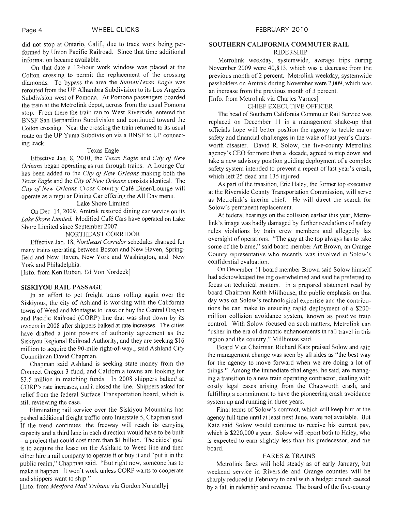did not stop at Ontario, Calif., due to track work being performed by Union Pacific Railroad. Since that time additional information became available.

On that date a 12-hour work window was placed at the Colton crossing to permit the replacement of the crossing diamonds. To bypass the area the *Sunset/Texas Eagle* was rerouted from the UP Alhambra Subdivision to its Los Angeles Subdivision west of Pomona. At Pomona passengers boarded the train at the Metrolink depot, across from the usual Pomona stop. From there the train ran to West Riverside, entered the BNSF San Bernardino Subdivision and continued toward the Colton crossing. Near the crossing the train returned to its usual route on the UP Yuma Subdivision via a BNSF to UP connecting track.

#### Texas Eagle

Effective Jan. 8, 2010, the *Texas Eagle* and **City** *of New Orleans* began operating as run through trains. A Lounge Car has been added to the *City of New Orleans* making both the *Texas Eagle and the City of New Orleans consists identical. The Civ of* **New** *Orleans Cross* Country Cafe DinerILounge will operate as a regular Dining Car offering the All Day menu.

#### Lake Shore Limited

On Dec. 14,2009, Amtrak restored dining car service on its *Lake Shore Limited.* Modified Cafe Cars have operated on Lake Shore Limited since September 2007.

#### NORTHEAST CORRIDOR

Effective Jan. 18, *Northeast Corridor* schedules changed for many trains operating between Boston and New Haven, Springfield and New Haven, New York and Washington, and New York and Philadelphia.

[Info. from Ken Ruben, Ed Von Nordeck]

#### **SISKIYOU** RAIL PASSAGE

In an effort to get freight trains rolling again over the Siskiyous, the city of Ashland is working with the California towns of Weed and Montague to lease or buy the Central Oregon and Pacific Railroad (CORP) line that was shut down by its owners in 2008 after shippers balked at rate increases. The cities have drafted a joint powers of authority agreement as the Siskiyou Regional Railroad Authority, and they are seeking \$16 million to acquire the 90-mile right-of-way., said Ashland City Councilman David Chapman.

Chapman said Ashland is seeking state money from the Connect Oregon 3 fund, and California towns are looking for \$3.5 million in matching funds. In 2008 shippers balked at CORP's rate increases, and it closed the line. Shippers asked for relief from the federal Surface Transportation board, which is still reviewing the case.

Eliminating rail service over the Siskiyou Mountains has pushed additional freight traffic onto Interstate 5, Chapman said. If the trend continues, the freeway will reach its carrying capacity and a third lane in each direction would have to be built  $-\hat{a}$  project that could cost more than \$1 billion. The cities' goal is to acquire the lease on the Ashland to Weed line and then either hire a rail company to operate it or buy it and "put it in the public realm," Chapman said. "But right now, someone has to make it happen. It won't work unless CORP wants to cooperate and shippers want to ship."

[Info. from *Medford Mail Tribune* via Gordon Nunnally]

## **SOUTHERN** CALIFORNIA **COMMUTER** RAIL

#### RIDERSHIP

Metrolink weekday, systemwide, average trips during November 2009 were 40,813, which was a decrease from the previous month of 2 percent. Metrolink weekday, systemwide passholders on Amtrak during November were 2,009, which was an increase from the previous month of 3 percent. [Info. from Metrolink via Charles Varnes]

# CHIEF EXECUTIVE OFFICER

The head of Southern California Commuter Rail Service was replaced on December 11 in a management shake-up that officials hope will better position the agency to tackle major safety and financial challenges in the wake of last year's Chatsworth disaster. David R. Solow, the five-county Metrolink agency's CEO for more than a decade, agreed to step down and take a new advisory position guiding deployment of a complex safety system intended to prevent a repeat of last year's crash, which left 25 dead and 135 injured.

As part of the transition, Eric Haley, the former top executive at the Riverside County Transportation Commission, will serve as Metrolink's interim chief. He will direct the search for Solow's permanent replacement.

At federal hearings on the collision earlier this year, Metrolink's image was badly damaged by further revelations of safety rules violations by train crew members and allegedly lax oversight of operations. "The guy at the top always has to take some of the blame," said board member Art Brown, an Orange County representative who recently was involved in Solow's confidential evaluation.

On December 11 board member Brown said Solow himself had acknowledged feeling overwhelmed and said he preferred to focus on technical matters. In a prepared statement read by board Chairman Keith Milthouse, the public emphasis on that day was on Solow's technological expertise and the contributions he can make to ensuring rapid deployment of a \$200 million collision avoidance system, known as positive train control. With Solow focused on such matters, Metrolink can "usher in the era of dramatic enhancements in rail travel in this region and the country," Millhouse said.

Board Vice Chairman Richard Katz praised Solow and said the management change was seen by all sides as "the best way for the agency to move forward when we are doing a lot of things." Among the immediate challenges, he said, are managing a transition to a new train operating contractor, dealing with costly legal cases arising from the Chatsworth crash, and fulfilling a commitment to have the pioneering crash avoidance system up and running in three years.

Final terms of Solow's contract, which will keep him at the agency full time until at least next June, were not available. But Katz said Solow would continue to receive his current pay, which is \$220,000 a year. Solow will report both to Haley, who is expected to earn slightly less than his predecessor, and the board.

#### FARES & TRAINS

Metrolink fares will hold steady as of early January, but weekend service in Riverside and Orange counties will be sharply reduced in February to deal with a budget crunch caused by a fall in ridership and revenue. The board of the five-county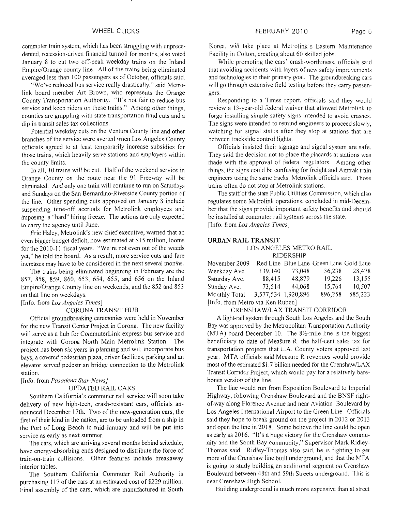commuter train system, which has been struggling with unprecedented, recession-driven financial turmoil for months, also voted January 8 to cut two off-peak weekday trains on the Inland Empire/Orange county line. All of the trains being eliminated averaged less than 100 passengers as of October, officials said.

"We've reduced bus service really drastically," said Metrolink board member Art Brown, who represents the Orange County Transportation Authority. "It's not fair to reduce bus service and keep riders on these trains." Among other things, counties are grappling with state transportation fund cuts and a dip in transit sales tax collections.

Potential weekday cuts on the Ventura County line and other branches of the service were averted when Los Angeles County officials agreed to at least temporarily increase subsidies for those trains, which heavily serve stations and employers within the county limits.

In all, 10 trains will be cut. Half of the weekend service in Orange County on the route near the 91 Freeway will be eliminated. And only one train will continue to run on Saturdays and Sundays on the San Bernardino-Riverside County portion of the line. Other spending cuts approved on January 8 include suspending time-off accruals for Metrolink employees and imposing a "hard" hiring freeze. The actions are only expected to carry the agency until June.

Eric Haley, Metrolink's new chief executive, warned that an even bigger budget deficit, now estimated at \$15 million, looms for the 2010-11 fiscal years. "We're not even out of the weeds yet," he told the board. As a result, more service cuts and fare increases may have to be considered in the next several months.

The trains being eliminated begiming in February are the 857, 858, 859, 860, 653, 654, 655, and 656 on the Inland Empire/Orange County line on weekends, and the 852 and 853 on that line on weekdays.

[Info. from *Los Angeles Times]* 

#### CORONA TRANSIT HUB

Official groundbreaking ceremonies were held in November for the new Transit Center Project in Corona. The new facility will serve as a hub for CommuterLink express bus service and integrate with Corona North Main Metrolink Station. The project has been six years in planning and will incorporate bus bays, a covered pedestrian plaza, driver facilities, parking and **an**  elevator served pedestrian bridge connection to the Metrolink station.

[Info. from *Pasadena Star-News]* 

#### UPDATED RAIL CARS

Southern California's commuter rail service will soon take delivery of new high-tech, crash-resistant cars, officials announced December 17th. Two of the new-generation cars, the first of their kind in the nation, are to be unloaded from a ship in the Port of Long Beach in mid-January and will be put into service as early as next summer.

The cars, which are arriving several months behind schedule, have energy-absorbing ends designed to distribute the force of train-on-train collisions. Other features include breakaway interior tables.

The Southern California Commuter Rail Authority is purchasing 1 17 of the cars at **an** estimated cost of \$229 million. Final assembly of the cars, which are manufactured in South

Korea, will take place at Metrolink's Eastern Maintenance Facility in Colton, creating about 60 skilled jobs

While promoting the cars' crash-worthiness, officials said that avoiding accidents with layers of new safety improvements and technologies in their primary goal. The groundbreaking cars will go through extensive field testing before they carry passengers.

Responding to a Times report, officials said they would review a 13-year-old federal waiver that allowed Metrolink to forgo installing simple safety signs intended to avoid crashes. The signs were intended to remind engineers to proceed slowly, watching for signal status after they stop at stations that are between trackside control lights.

Officials insisted their signage and signal system are safe. They said the decision not to place the placards at stations was made with the approval of federal regulators. Among other things, the signs could be confusing for freight and Amtrak train engineers using the same tracks, Metrolink officials said. Those trains often do not stop at Metrolink stations.

The staff of the state Public Utilities Commission, which also regulates some Metrolink operations, concluded in mid-December that the signs provide important safety benefits and should be installed at commuter rail systems across the state. [Info. from *Los Angeles Times]* 

#### **URBAN RAIL TRANSIT**

LOS ANGELES METRO RAIL **BIDERSHIP** 

| KIDERSHIP.                       |                     |        |                                         |         |
|----------------------------------|---------------------|--------|-----------------------------------------|---------|
| November 2009                    |                     |        | Red Line Blue Line Green Line Gold Line |         |
| Weekday Ave.                     | 139,140             | 73,048 | 36,238                                  | 28,478  |
| Saturday Ave.                    | 88,415              | 48,879 | 19,226                                  | 13,155  |
| Sunday Ave.                      | 73,514              | 44,068 | 15,764                                  | 10,507  |
| Monthly Total                    | 3,577,534 1,920,896 |        | 896,258                                 | 685,223 |
| [Info. from Metro via Ken Ruben] |                     |        |                                         |         |

# CRENSHAWILAX TRANSIT CORRIDOR

A light-rail system through South Los Angeles and the South Bay was approved by the Metropolitan Transportation Authority (MTA) board December 10. The  $8\frac{1}{2}$ -mile line is the biggest beneficiary to date of Measure R, the half-cent sales tax for transportation projects that L.A. County voters approved last year. MTA officials said Measure R revenues would provide most of the estimated \$1.7 billion needed for the Crenshaw/LAX Transit Corridor Project, which would pay for a relatively barebones version of the line.

The line would run from Exposition Boulevard to Imperial Highway, following Crenshaw Boulevard and the BNSF rightof-way along Florence Avenue and near Aviation Boulevard by Los Angeles International Airport to the Green Line. Officials said they hope to break ground on the project in 2012 or 2013 and open the line in 20 18. Some believe the line could be open as early as 2016. "It's a huge victory for the Crenshaw community and the South Bay community," Supervisor Mark Ridley-Thomas said. Ridley-Thomas also said, he is fighting to get more of the Crenshaw line built underground, and that the MTA is going to study building an additional segment on Crenshaw Boulevard between 48th and 59th Streets underground. This is near Crenshaw High School.

Building underground is much more expensive than at street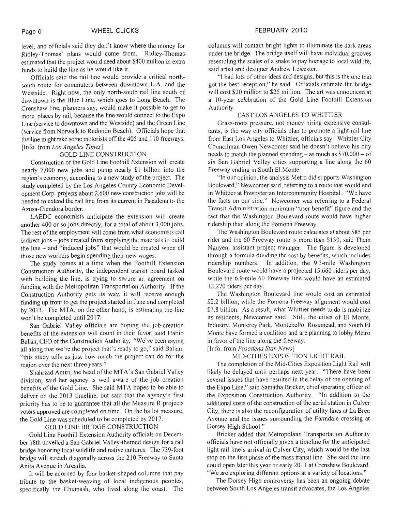level, and officials said they don't know where the money for Ridley-Thomas' plans would come from. Ridley-Thomas estimated that the project would need about \$400 million in extra funds to build the line as he would like it.

Officials said the rail line would provide a critical northsouth route for commuters between downtown L.A. and the Westside. Right now, the only north-south rail line south of downtown is the Blue Line, which goes to Long Beach. The Crenshaw line, planners say, would make it possible to get to more places by rail, because the line would connect to the Expo Line (service to downtown and the Westside) and the Green Line (service from Norwalk to Redondo Beach). Officials hope that the line might take some motorists off the 405 and 1 10 freeways. [Info. from *Los Angeles* **Times]** 

#### GOLD LINE CONSTRUCTION

Construction of the Gold Line Foothill Extension will create nearly 7,000 new jobs and pump nearly \$1 billion into the region's economy, according to a new study of the project. The study completed by the Los Angeles County Economic Development Corp. projects about 2,600 new construction jobs will be needed to extend the rail line from its current in Pasadena to the Azusa-Glendora border.

LAEDC economists anticipate the extension will create another 400 or so jobs directly, for a total of about 3,000 jobs. The rest of the employment will come from what economists call  $indirect jobs - jobs created from supplying the materials to build$ the line  $-$  and "induced jobs" that would be created when all those new workers begin spending their new wages.

The study comes at a time when the Foothill Extension Construction Authority, the independent transit board tasked with building the line, is trying to secure an agreement on funding with the Metropolitan Transportation Authority. If the Construction Authority gets its way, it will receive enough funding up fiont to get the project started in June and completed by 2013. The MTA, on the other hand, is estimating the line won't be completed until 20 17.

San Gabriel Valley officials are hoping the job-creation benefits of the extension will count in their favor, said Habib Balian, CEO of the Construction Authority, "We've been saying all along that we're the project that's ready to go," said Balian. "this study tells us just how much the project can do for the region over the next three years."

Shahrzad Amiri, the head of the MTA's San Gabriel Valley division, said her agency is well aware of the job creation benefits of the Gold Line. She said MTA hopes to be able to deliver on the 2013 timeline, but said that the agency's first priority has to be to guarantee that all the Measure R projects voters approved are completed on time. On the ballot measure, the Gold Line was scheduled to be completed by 2017.

#### GOLD LINE BRIDGE CONSTRUCTION

Gold Line Foothill Extension Authority officials on December 18th unveiled a San Gabriel Valley-themed design for a rail bridge honoring local wildlife and native cultures. The 739-foot bridge will stretch diagonally across the 210 Freeway to Santa Anita Avenue in Arcadia.

It will be adorned by four basket-shaped columns that pay tribute to the basket-weaving of local indigenous peoples, specifically the Chumash, who lived along the coast. The

columns will contain bright lights to illuminate the dark areas under the bridge. The bridge itself will have individual grooves resembling the scales of a snake to pay homage to local wildlife, said artist and designer Andrew Leicester.

"I had lots of other ideas and designs, but this is the one that got the best reception," he said. Officials estimate the bridge will cost \$20 million to \$25 million. The art was announced at a 10-year celebration of the Gold Line Foothill Extension Authority.

#### EAST LOS ANGELES TO WHITTIER

Grass-roots pressure, not money hiring expensive consultants, is the way city officials plan to promote a light-rail line from East Los Angeles to Whittier, officials say. Whittier City Councilman Owen Newcomer said he doesn't believe his city needs to match the planned spending  $-$  as much as \$70,000  $-$  of six San Gabriel Valley cities supporting a line along the 60 Freeway ending in South El Monte.

"In our opinion, the analysis Metro did supports Washington Boulevard," Newcomer said, referring to a route that would end in Whittier at Presbyterian Intercommunity Hospital. "We have the facts on our side." Newcomer was referring to a Federal Transit Administration minimum "user benefit" figure and the fact that the Washington Boulevard route would have higher ridership than along the Pomona Freeway.

The Washington Boulevard route calculates at about \$85 per rider and the 60 Freeway route is more than \$130, said Tham Nguyen, assistant project manager. The figure is developed through a formula dividing the cost by benefits, which includes ridership numbers. In addition, the 9.3-mile Washington Boulevard route would have a projected 15,660 riders per day, while the 6.9-mile 60 Freeway line would have an estimated 12,270 riders per day.

The Washington Boulevard line would cost an estimated \$2.2 billion, while the Pomona Freeway alignment would cost \$1.8 billion. As a result, what Whittier needs to do is mobilize its residents, Newcomer said. Still, the cities of El Monte, Industry, Monterey Park, Montebello, Rosemead, and South El Monte have formed a coalition and are planning to lobby Metro in favor of the line along the freeway.

[Info. from *Pasadena Star-News*]

#### MID-CITIES EXPOSITION LIGHT RAIL

The completion of the Mid-Cities Exposition Light Rail will likely be delayed until perhaps next year. "There have been several issues that have resulted in the delay of the opening of the Expo Line," said Sarnatha Bricker, chief operating officer of the Exposition Construction Authority. "In addition to the additional costs of the construction of the aerial station in Culver City, there is also the reconfiguration of utility lines at La Brea Avenue and the issues surrounding the Farmdale crossing at Dorsey High School."

Bricker added that Metropolitan Transportation Authority officials have not officially given a timeline for the anticipated light rail line's arrival in Culver City, which would be the last stop on the frst phase of the mass transit line. She said the line could open later this year or early 2011 at Crenshaw Boulevard. "We are exploring different options at a variety of locations."

The Dorsey High controversy has been an ongoing debate between South Los Angeles transit advocates, the Los Angeles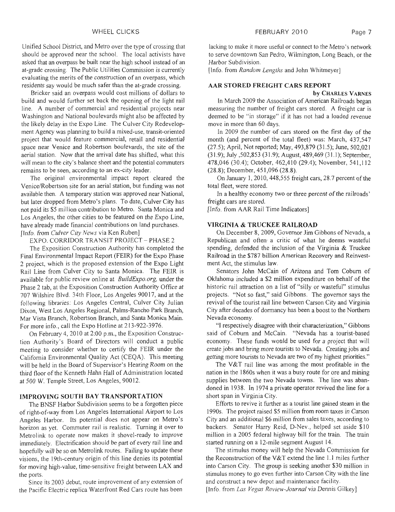Unified School District, and Metro over the type of crossing that should be approved near the school. The local activists have asked that an overpass be built near the high school instead of an at-grade crossing. The Public Utilities Commission is currently evaluating the merits of the construction of an overpass, which residents say would be much safer than the at-grade crossing.

Bricker said an overpass would cost millions of dollars to build and would further set back the opening of the light rail line. A number of commercial and residential projects near Washington and National boulevards might also be affected by the likely delay in the Expo Line. The Culver City Redevelopment Agency was planning to build a mixed-use, transit-oriented project that would feature commercial, retail and residential space near Venice and Robertson boulevards, the site of the aerial station. Now that the arrival date has shifted, what this will mean to the city's balance sheet and the potential commuters remains to be seen, according to an ex-city leader.

The original environmental impact report cleared the Venice/Robertson site for an aerial station, but funding was not available then. A temporary station was approved near National, but later dropped from Metro's plans. To date, Culver City has not paid its \$5 million contribution to Metro. Santa Monica and Los Angeles, the other cities to be featured on the Expo Line, have already made financial contributions on land purchases. [Info. from *Culver City News* via Ken Ruben]

EXPO. CORRIDOR TRANSIT PROJECT - PHASE 2

The Exposition Construction Authority has completed the Final Environmental Impact Report (FEIK) for the Expo Phase 2 project, which is the proposed extension of the Expo Light Rail Line from Culver City to Santa Monica. The FEIR is available for public review online at *BuildExpo.org,* under the Phase 2 tab, at the Exposition Construction Authority Office at 707 Wilshire Blvd. 34th Floor, Los Angeles 90017, and at the following libraries: Los Angeles Central, Culver City Julian Dixon, West Los Angeles Regional, Palms-Rancho Park Branch, Mar Vista Branch, Robertson Branch, and Santa Monica Main. For more info., call the Expo Hotline at 213-922-3976.

On February 4, 2010 at 2:00 p.m., the Exposition Construction Authority's Board of Directors will conduct a public meeting to consider whether to certify the FEIR under the California Environmental Quality Act (CEQA). This meeting will be held in the Board of Supervisor's Hearing Room on the third floor of the Kenneth Hahn Hall of Administration located at 500 W. Temple Street, Los Angeles, 90012.

#### **IMPROVING SOUTH BAY TRANSPORTATION**

The BNSF Harbor Subdivision seems to be a forgotten piece of right-of-way from Los Angeles International Airport to Los Angeles Harbor. Its potential does not appear on Metro's horizon as yet. Commuter rail is realistic. Turning it over to Metrolink to operate now makes it shovel-ready to improve immediately. Electrification should be part of every rail line and hopefully will be so on Metrolink routes. Failing to update these visions, the 19th-century origin of this line denies its potential for moving high-value, time-sensitive freight between LAX and the ports.

Since its 2003 debut, route improvement of any extension of the Pacific Electric replica Waterfront Red Cars route has been

lacking to make it more useful or connect to the Metro's network to serve downtown San Pedro, Wilrnington, Long Beach, or the Harbor Subdivision.

[Info. from *Random Lengths* and John Whitmeyer]

#### **AAR STORED FREIGHT CARS REPORT**

**by** CHARLES VARNES

In March 2009 the Association of American Railroads began measuring the number of freight cars stored. A freight car is deemed to be "in storage" if it has not had a loaded revenue move in more than 60 days.

In 2009 the number of cars stored on the first day of the month (and percent of the total fleet) was: March, 437,547 (27.5); April, Not reported; May, 493,879 (3 1.5); June, 502,02 1 (3 1.9); July ,502,853 (3 1.9); August, 489,469 (3 1.1); September, 478,046 (30.4); October, 462,4 10 (29.4); November, 54 1,112 (28.8); December, 451,096 (28.8).

On January 1,20 10,448,555 freight cars, 28.7 percent of the total fleet, were stored.

In a healthy economy two or three percent of the railroads' freight cars are stored.

[Info. from AAR Rail Time Indicators]

#### **VIRGINIA** & **TRUCKEE RAILROAD**

On December 8,2009, Governor Jim Gibbons of Nevada, a Republican and often- a critic of what he deems wasteful spending, defended the inclusion of the Virginia  $\&$  Truckee Railroad in the \$787 billion American Recovery and Reinvestment Act, the stimulus law.

Senators John McCain of Arizona and Tom Cobum of Oklahoma included a \$2 million expenditure on behalf of the historic rail attraction on a list of "silly or wasteful" stimulus projects. "Not so fast," said Gibbons. The governor says the revival of the tourist rail line between Carson City and Virginia City after decades of dormancy has been a boost to the Northern Nevada economy.

"I respectively disagree with their characterization," Gibbons said of Coburn and McCain. "Nevada has a tourist-based economy. These funds woald be used for a project that will create jobs and bring more tourists to Nevada. Creating jobs and getting more tourists to Nevada are two of my highest priorities."

The V&T rail line was among the most profitable in the nation in the 1860s when it was a busy route for ore and mining supplies between the two Nevada towns. The line was abandoned in 1938. In 1974 a private operator revived the line for a short span in Virginia City.

Efforts to revive it further as a tourist line gained steam in the 1990s. The project raised \$5 million from room taxes in Carson City and an additional \$6 million from sales taxes, according to backers. Senator Harry Reid, D-Nev., helped set aside \$10 million in a 2005 federal highway bill for the train. The train started running on a 12-mile segment August 14.

The stimulus money will help the Nevada Commission for the Reconstruction of the V&T extend the line 1.1 miles further into Carson City. The group is seeking another \$30 million in stimulus money to go even further into Carson City with the line and construct a new depot and maintenance facility.

[Info. from *Las Vegas Review-Journal* via Dennis Gilkey]